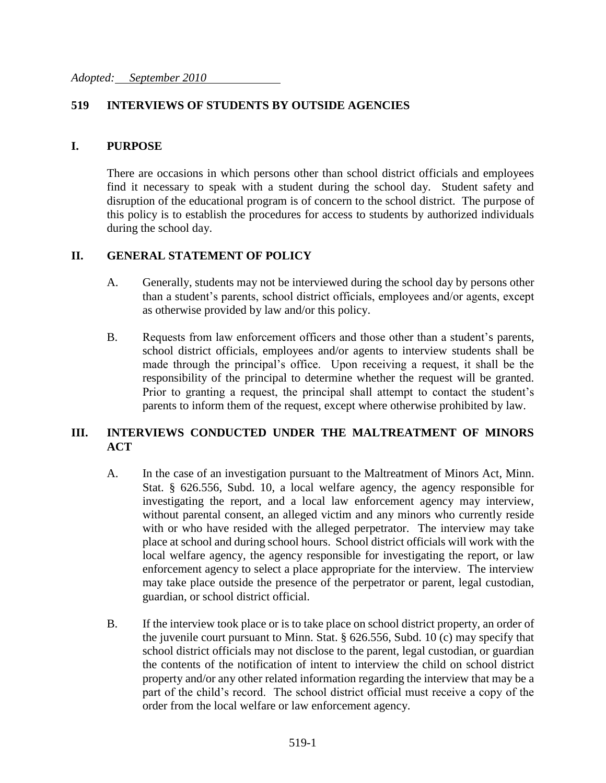## **519 INTERVIEWS OF STUDENTS BY OUTSIDE AGENCIES**

## **I. PURPOSE**

There are occasions in which persons other than school district officials and employees find it necessary to speak with a student during the school day. Student safety and disruption of the educational program is of concern to the school district. The purpose of this policy is to establish the procedures for access to students by authorized individuals during the school day.

## **II. GENERAL STATEMENT OF POLICY**

- A. Generally, students may not be interviewed during the school day by persons other than a student's parents, school district officials, employees and/or agents, except as otherwise provided by law and/or this policy.
- B. Requests from law enforcement officers and those other than a student's parents, school district officials, employees and/or agents to interview students shall be made through the principal's office. Upon receiving a request, it shall be the responsibility of the principal to determine whether the request will be granted. Prior to granting a request, the principal shall attempt to contact the student's parents to inform them of the request, except where otherwise prohibited by law.

## **III. INTERVIEWS CONDUCTED UNDER THE MALTREATMENT OF MINORS ACT**

- A. In the case of an investigation pursuant to the Maltreatment of Minors Act, Minn. Stat. § 626.556, Subd. 10, a local welfare agency, the agency responsible for investigating the report, and a local law enforcement agency may interview, without parental consent, an alleged victim and any minors who currently reside with or who have resided with the alleged perpetrator. The interview may take place at school and during school hours. School district officials will work with the local welfare agency, the agency responsible for investigating the report, or law enforcement agency to select a place appropriate for the interview. The interview may take place outside the presence of the perpetrator or parent, legal custodian, guardian, or school district official.
- B. If the interview took place or is to take place on school district property, an order of the juvenile court pursuant to Minn. Stat. § 626.556, Subd. 10 (c) may specify that school district officials may not disclose to the parent, legal custodian, or guardian the contents of the notification of intent to interview the child on school district property and/or any other related information regarding the interview that may be a part of the child's record. The school district official must receive a copy of the order from the local welfare or law enforcement agency.